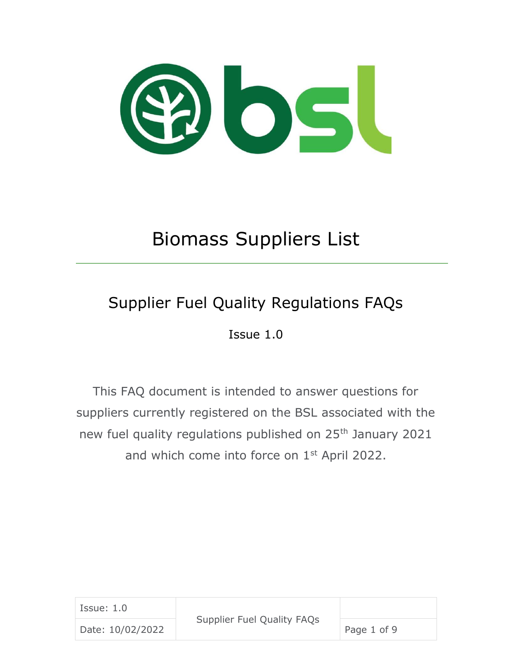

# Biomass Suppliers List

## Supplier Fuel Quality Regulations FAQs

Issue 1.0

This FAQ document is intended to answer questions for suppliers currently registered on the BSL associated with the new fuel quality regulations published on 25<sup>th</sup> January 2021 and which come into force on 1<sup>st</sup> April 2022.

| Issue: 1.0       | Supplier Fuel Quality FAQs |             |
|------------------|----------------------------|-------------|
| Date: 10/02/2022 |                            | Page 1 of 9 |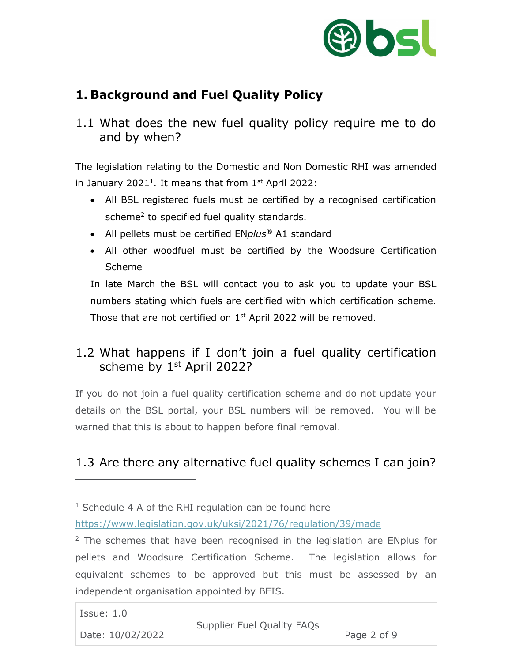

#### **1. Background and Fuel Quality Policy**

1.1 What does the new fuel quality policy require me to do and by when?

The legislation relating to the Domestic and Non Domestic RHI was amended in January 2021<sup>1</sup>. It means that from  $1<sup>st</sup>$  April 2022:

- All BSL registered fuels must be certified by a recognised certification scheme<sup>2</sup> to specified fuel quality standards.
- All pellets must be certified EN*plus®* A1 standard
- All other woodfuel must be certified by the Woodsure Certification Scheme

In late March the BSL will contact you to ask you to update your BSL numbers stating which fuels are certified with which certification scheme. Those that are not certified on 1<sup>st</sup> April 2022 will be removed.

#### 1.2 What happens if I don't join a fuel quality certification scheme by 1<sup>st</sup> April 2022?

If you do not join a fuel quality certification scheme and do not update your details on the BSL portal, your BSL numbers will be removed. You will be warned that this is about to happen before final removal.

#### 1.3 Are there any alternative fuel quality schemes I can join?

 $2$  The schemes that have been recognised in the legislation are ENplus for pellets and Woodsure Certification Scheme. The legislation allows for equivalent schemes to be approved but this must be assessed by an independent organisation appointed by BEIS.

| Issue: 1.0       |                                   |             |
|------------------|-----------------------------------|-------------|
| Date: 10/02/2022 | <b>Supplier Fuel Quality FAQs</b> | Page 2 of 9 |

 $1$  Schedule 4 A of the RHI regulation can be found here

<https://www.legislation.gov.uk/uksi/2021/76/regulation/39/made>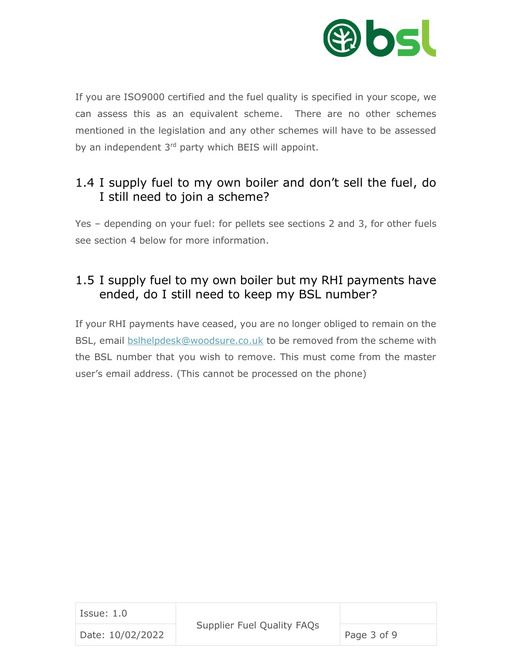

If you are ISO9000 certified and the fuel quality is specified in your scope, we can assess this as an equivalent scheme. There are no other schemes mentioned in the legislation and any other schemes will have to be assessed by an independent  $3<sup>rd</sup>$  party which BEIS will appoint.

#### 1.4 I supply fuel to my own boiler and don't sell the fuel, do I still need to join a scheme?

Yes – depending on your fuel: for pellets see sections 2 and 3, for other fuels see section 4 below for more information.

#### 1.5 I supply fuel to my own boiler but my RHI payments have ended, do I still need to keep my BSL number?

If your RHI payments have ceased, you are no longer obliged to remain on the BSL, email [bslhelpdesk@woodsure.co.uk](mailto:bslhelpdesk@woodsure.co.uk) to be removed from the scheme with the BSL number that you wish to remove. This must come from the master user's email address. (This cannot be processed on the phone)

| Issue: 1.0       |                            |             |
|------------------|----------------------------|-------------|
| Date: 10/02/2022 | Supplier Fuel Quality FAQs | Page 3 of 9 |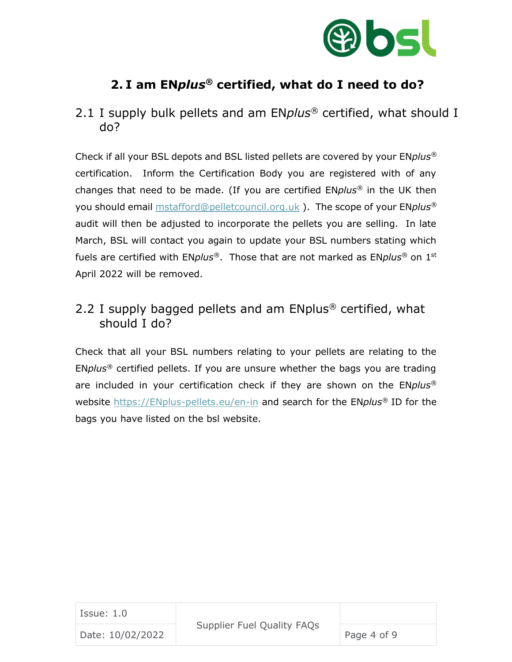

#### **2. I am EN***plus®* **certified, what do I need to do?**

2.1 I supply bulk pellets and am EN*plus®* certified, what should I do?

Check if all your BSL depots and BSL listed pellets are covered by your EN*plus®* certification. Inform the Certification Body you are registered with of any changes that need to be made. (If you are certified EN*plus®* in the UK then you should email [mstafford@pelletcouncil.org.uk](mailto:mstafford@pelletcouncil.org.uk) ). The scope of your EN*plus®* audit will then be adjusted to incorporate the pellets you are selling. In late March, BSL will contact you again to update your BSL numbers stating which fuels are certified with EN*plus®*. Those that are not marked as EN*plus®* on 1st April 2022 will be removed.

#### 2.2 I supply bagged pellets and am ENplus*®* certified, what should I do?

Check that all your BSL numbers relating to your pellets are relating to the EN*plus®* certified pellets. If you are unsure whether the bags you are trading are included in your certification check if they are shown on the EN*plus®* website [https://ENplus-pellets.eu/en-in](https://enplus-pellets.eu/en-in) and search for the EN*plus®* ID for the bags you have listed on the bsl website.

| Issue: $1.0$     |                                   |             |
|------------------|-----------------------------------|-------------|
| Date: 10/02/2022 | <b>Supplier Fuel Quality FAQs</b> | Page 4 of 9 |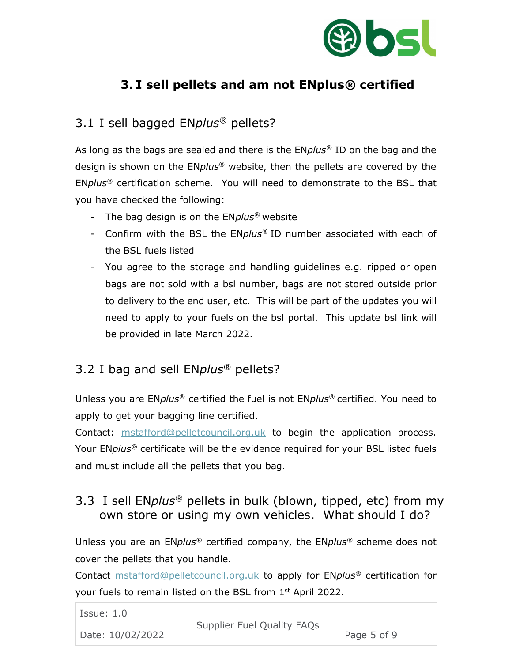

#### **3. I sell pellets and am not ENplus***®* **certified**

#### 3.1 I sell bagged EN*plus®* pellets?

As long as the bags are sealed and there is the EN*plus®* ID on the bag and the design is shown on the EN*plus®* website, then the pellets are covered by the EN*plus®* certification scheme. You will need to demonstrate to the BSL that you have checked the following:

- The bag design is on the EN*plus®* website
- Confirm with the BSL the EN*plus®* ID number associated with each of the BSL fuels listed
- You agree to the storage and handling guidelines e.g. ripped or open bags are not sold with a bsl number, bags are not stored outside prior to delivery to the end user, etc. This will be part of the updates you will need to apply to your fuels on the bsl portal. This update bsl link will be provided in late March 2022.

#### 3.2 I bag and sell EN*plus®* pellets?

Unless you are EN*plus®* certified the fuel is not EN*plus®* certified. You need to apply to get your bagging line certified.

Contact: [mstafford@pelletcouncil.org.uk](mailto:mstafford@pelletcouncil.org.uk) to begin the application process. Your EN*plus®* certificate will be the evidence required for your BSL listed fuels and must include all the pellets that you bag.

#### 3.3 I sell EN*plus®* pellets in bulk (blown, tipped, etc) from my own store or using my own vehicles. What should I do?

Unless you are an EN*plus®* certified company, the EN*plus®* scheme does not cover the pellets that you handle.

Contact [mstafford@pelletcouncil.org.uk](mailto:mstafford@pelletcouncil.org.uk) to apply for EN*plus®* certification for your fuels to remain listed on the BSL from  $1<sup>st</sup>$  April 2022.

| Issue: 1.0       |                            |             |
|------------------|----------------------------|-------------|
| Date: 10/02/2022 | Supplier Fuel Quality FAQs | Page 5 of 9 |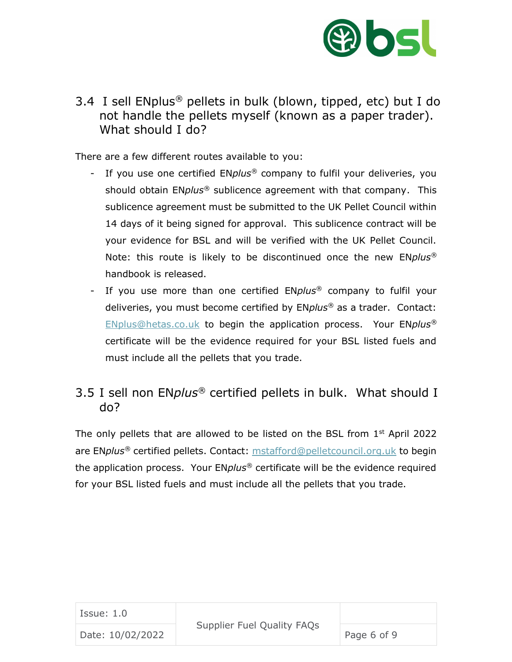

3.4 I sell ENplus*®* pellets in bulk (blown, tipped, etc) but I do not handle the pellets myself (known as a paper trader). What should I do?

There are a few different routes available to you:

- If you use one certified EN*plus®* company to fulfil your deliveries, you should obtain EN*plus®* sublicence agreement with that company. This sublicence agreement must be submitted to the UK Pellet Council within 14 days of it being signed for approval. This sublicence contract will be your evidence for BSL and will be verified with the UK Pellet Council. Note: this route is likely to be discontinued once the new EN*plus®* handbook is released.
- If you use more than one certified EN*plus®* company to fulfil your deliveries, you must become certified by EN*plus®* as a trader. Contact: [ENplus@hetas.co.uk](mailto:ENplus@hetas.co.uk) to begin the application process. Your EN*plus®* certificate will be the evidence required for your BSL listed fuels and must include all the pellets that you trade.

#### 3.5 I sell non EN*plus®* certified pellets in bulk. What should I do?

The only pellets that are allowed to be listed on the BSL from  $1<sup>st</sup>$  April 2022 are EN*plus®* certified pellets. Contact: [mstafford@pelletcouncil.org.uk](mailto:mstafford@pelletcouncil.org.uk) to begin the application process. Your EN*plus®* certificate will be the evidence required for your BSL listed fuels and must include all the pellets that you trade.

| Issue: 1.0       |                            |             |
|------------------|----------------------------|-------------|
| Date: 10/02/2022 | Supplier Fuel Quality FAQs | Page 6 of 9 |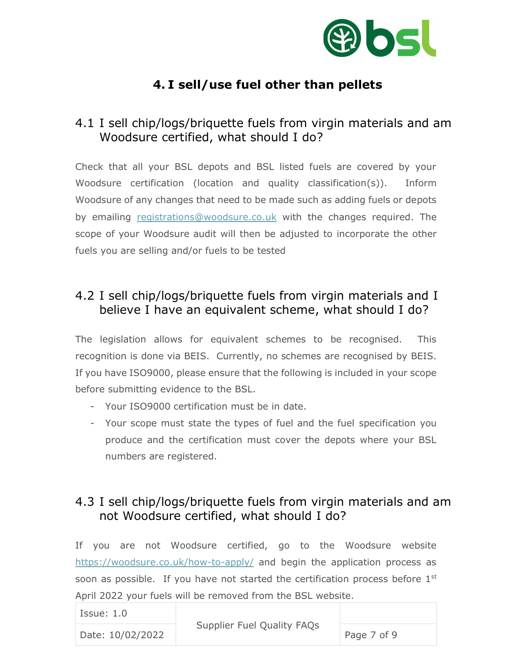

### **4. I sell/use fuel other than pellets**

#### 4.1 I sell chip/logs/briquette fuels from virgin materials and am Woodsure certified, what should I do?

Check that all your BSL depots and BSL listed fuels are covered by your Woodsure certification (location and quality classification(s)). Inform Woodsure of any changes that need to be made such as adding fuels or depots by emailing [registrations@woodsure.co.uk](mailto:registrations@woodsure.co.uk) with the changes required. The scope of your Woodsure audit will then be adjusted to incorporate the other fuels you are selling and/or fuels to be tested

#### 4.2 I sell chip/logs/briquette fuels from virgin materials and I believe I have an equivalent scheme, what should I do?

The legislation allows for equivalent schemes to be recognised. This recognition is done via BEIS. Currently, no schemes are recognised by BEIS. If you have ISO9000, please ensure that the following is included in your scope before submitting evidence to the BSL.

- Your ISO9000 certification must be in date.
- Your scope must state the types of fuel and the fuel specification you produce and the certification must cover the depots where your BSL numbers are registered.

#### 4.3 I sell chip/logs/briquette fuels from virgin materials and am not Woodsure certified, what should I do?

If you are not Woodsure certified, go to the Woodsure website <https://woodsure.co.uk/how-to-apply/> and begin the application process as soon as possible. If you have not started the certification process before 1<sup>st</sup> April 2022 your fuels will be removed from the BSL website.

| Issue: 1.0       |                                   |             |
|------------------|-----------------------------------|-------------|
| Date: 10/02/2022 | <b>Supplier Fuel Quality FAQs</b> | Page 7 of 9 |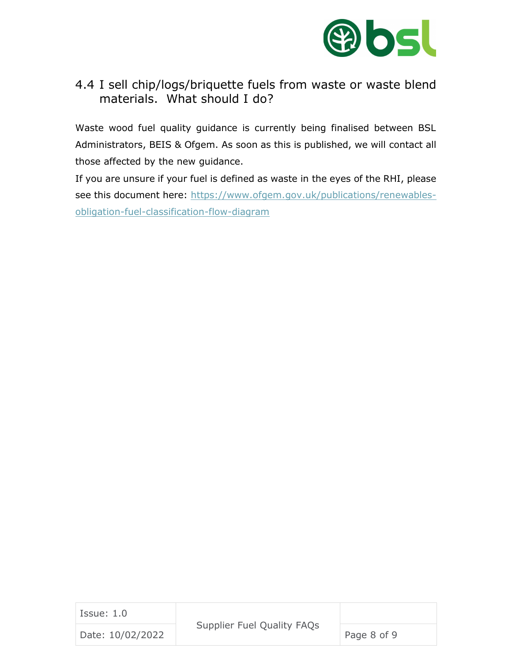

#### 4.4 I sell chip/logs/briquette fuels from waste or waste blend materials. What should I do?

Waste wood fuel quality guidance is currently being finalised between BSL Administrators, BEIS & Ofgem. As soon as this is published, we will contact all those affected by the new guidance.

If you are unsure if your fuel is defined as waste in the eyes of the RHI, please see this document here: [https://www.ofgem.gov.uk/publications/renewables](https://www.ofgem.gov.uk/publications/renewables-obligation-fuel-classification-flow-diagram)[obligation-fuel-classification-flow-diagram](https://www.ofgem.gov.uk/publications/renewables-obligation-fuel-classification-flow-diagram)

| Issue: 1.0       |                                   |             |
|------------------|-----------------------------------|-------------|
| Date: 10/02/2022 | <b>Supplier Fuel Quality FAQs</b> | Page 8 of 9 |